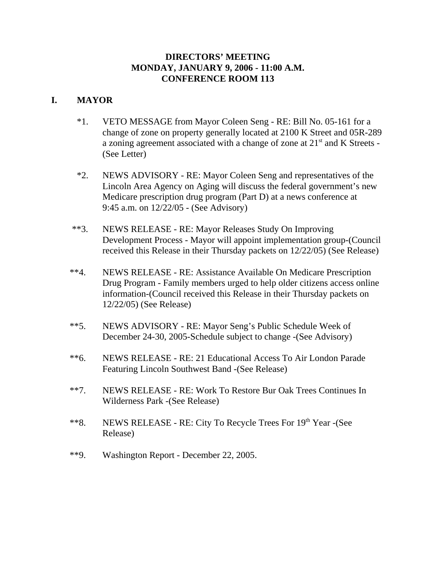## **DIRECTORS' MEETING MONDAY, JANUARY 9, 2006 - 11:00 A.M. CONFERENCE ROOM 113**

# **I. MAYOR**

- \*1. VETO MESSAGE from Mayor Coleen Seng RE: Bill No. 05-161 for a change of zone on property generally located at 2100 K Street and 05R-289 a zoning agreement associated with a change of zone at 21<sup>st</sup> and K Streets -(See Letter)
- \*2. NEWS ADVISORY RE: Mayor Coleen Seng and representatives of the Lincoln Area Agency on Aging will discuss the federal government's new Medicare prescription drug program (Part D) at a news conference at 9:45 a.m. on 12/22/05 - (See Advisory)
- \*\*3. NEWS RELEASE RE: Mayor Releases Study On Improving Development Process - Mayor will appoint implementation group-(Council received this Release in their Thursday packets on 12/22/05) (See Release)
- \*\*4. NEWS RELEASE RE: Assistance Available On Medicare Prescription Drug Program - Family members urged to help older citizens access online information-(Council received this Release in their Thursday packets on 12/22/05) (See Release)
- \*\*5. NEWS ADVISORY RE: Mayor Seng's Public Schedule Week of December 24-30, 2005-Schedule subject to change -(See Advisory)
- \*\*6. NEWS RELEASE RE: 21 Educational Access To Air London Parade Featuring Lincoln Southwest Band -(See Release)
- \*\*7. NEWS RELEASE RE: Work To Restore Bur Oak Trees Continues In Wilderness Park -(See Release)
- \*\*8. NEWS RELEASE RE: City To Recycle Trees For 19th Year -(See Release)
- \*\*9. Washington Report December 22, 2005.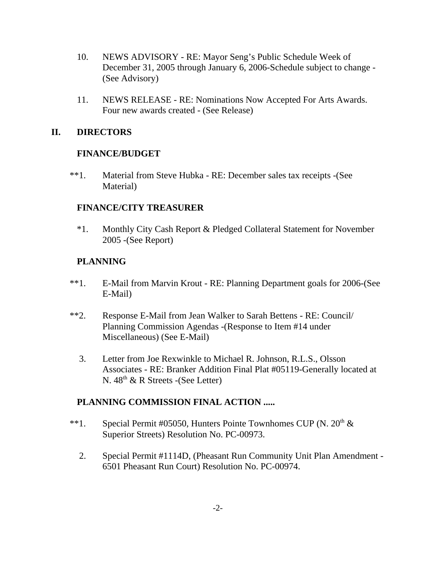- 10. NEWS ADVISORY RE: Mayor Seng's Public Schedule Week of December 31, 2005 through January 6, 2006-Schedule subject to change - (See Advisory)
- 11. NEWS RELEASE RE: Nominations Now Accepted For Arts Awards. Four new awards created - (See Release)

### **II. DIRECTORS**

#### **FINANCE/BUDGET**

\*\*1. Material from Steve Hubka - RE: December sales tax receipts -(See Material)

#### **FINANCE/CITY TREASURER**

\*1. Monthly City Cash Report & Pledged Collateral Statement for November 2005 -(See Report)

## **PLANNING**

- \*\*1. E-Mail from Marvin Krout RE: Planning Department goals for 2006-(See E-Mail)
- \*\*2. Response E-Mail from Jean Walker to Sarah Bettens RE: Council/ Planning Commission Agendas -(Response to Item #14 under Miscellaneous) (See E-Mail)
	- 3. Letter from Joe Rexwinkle to Michael R. Johnson, R.L.S., Olsson Associates - RE: Branker Addition Final Plat #05119-Generally located at N.  $48<sup>th</sup>$  & R Streets -(See Letter)

## **PLANNING COMMISSION FINAL ACTION .....**

- \*\*1. Special Permit #05050, Hunters Pointe Townhomes CUP (N. 20<sup>th</sup> & Superior Streets) Resolution No. PC-00973.
	- 2. Special Permit #1114D, (Pheasant Run Community Unit Plan Amendment 6501 Pheasant Run Court) Resolution No. PC-00974.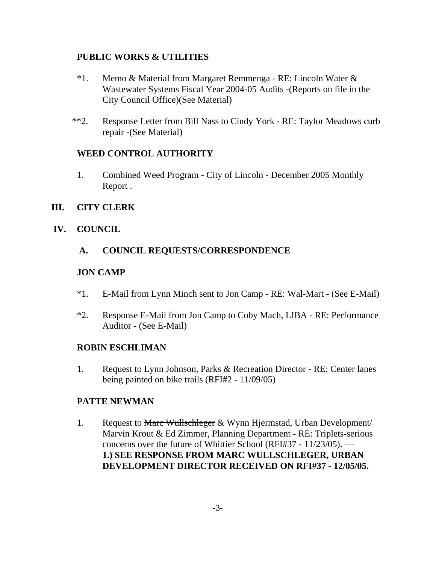# **PUBLIC WORKS & UTILITIES**

- \*1. Memo & Material from Margaret Remmenga RE: Lincoln Water & Wastewater Systems Fiscal Year 2004-05 Audits -(Reports on file in the City Council Office)(See Material)
- \*\*2. Response Letter from Bill Nass to Cindy York RE: Taylor Meadows curb repair -(See Material)

# **WEED CONTROL AUTHORITY**

1. Combined Weed Program - City of Lincoln - December 2005 Monthly Report .

## **III. CITY CLERK**

# **IV. COUNCIL**

# **A. COUNCIL REQUESTS/CORRESPONDENCE**

# **JON CAMP**

- \*1. E-Mail from Lynn Minch sent to Jon Camp RE: Wal-Mart (See E-Mail)
- \*2. Response E-Mail from Jon Camp to Coby Mach, LIBA RE: Performance Auditor - (See E-Mail)

## **ROBIN ESCHLIMAN**

1. Request to Lynn Johnson, Parks & Recreation Director - RE: Center lanes being painted on bike trails (RFI#2 - 11/09/05)

## **PATTE NEWMAN**

1. Request to Marc Wullschleger & Wynn Hjermstad, Urban Development/ Marvin Krout & Ed Zimmer, Planning Department - RE: Triplets-serious concerns over the future of Whittier School (RFI#37 - 11/23/05). — **1.) SEE RESPONSE FROM MARC WULLSCHLEGER, URBAN DEVELOPMENT DIRECTOR RECEIVED ON RFI#37 - 12/05/05.**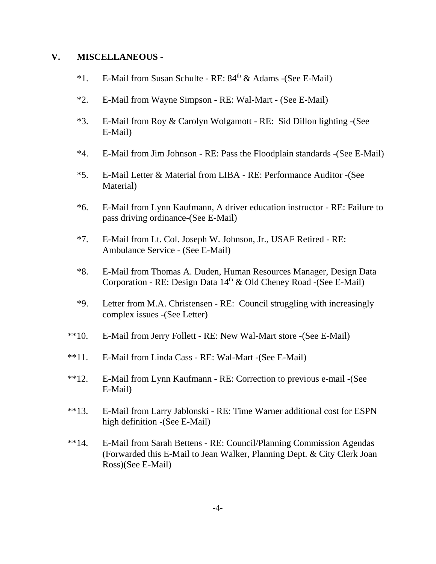#### **V. MISCELLANEOUS** -

- $*1.$  E-Mail from Susan Schulte RE:  $84<sup>th</sup>$  & Adams -(See E-Mail)
- \*2. E-Mail from Wayne Simpson RE: Wal-Mart (See E-Mail)
- \*3. E-Mail from Roy & Carolyn Wolgamott RE: Sid Dillon lighting -(See E-Mail)
- \*4. E-Mail from Jim Johnson RE: Pass the Floodplain standards -(See E-Mail)
- \*5. E-Mail Letter & Material from LIBA RE: Performance Auditor -(See Material)
- \*6. E-Mail from Lynn Kaufmann, A driver education instructor RE: Failure to pass driving ordinance-(See E-Mail)
- \*7. E-Mail from Lt. Col. Joseph W. Johnson, Jr., USAF Retired RE: Ambulance Service - (See E-Mail)
- \*8. E-Mail from Thomas A. Duden, Human Resources Manager, Design Data Corporation - RE: Design Data  $14<sup>th</sup>$  & Old Cheney Road -(See E-Mail)
- \*9. Letter from M.A. Christensen RE: Council struggling with increasingly complex issues -(See Letter)
- \*\*10. E-Mail from Jerry Follett RE: New Wal-Mart store -(See E-Mail)
- \*\*11. E-Mail from Linda Cass RE: Wal-Mart -(See E-Mail)
- \*\*12. E-Mail from Lynn Kaufmann RE: Correction to previous e-mail -(See E-Mail)
- \*\*13. E-Mail from Larry Jablonski RE: Time Warner additional cost for ESPN high definition -(See E-Mail)
- \*\*14. E-Mail from Sarah Bettens RE: Council/Planning Commission Agendas (Forwarded this E-Mail to Jean Walker, Planning Dept. & City Clerk Joan Ross)(See E-Mail)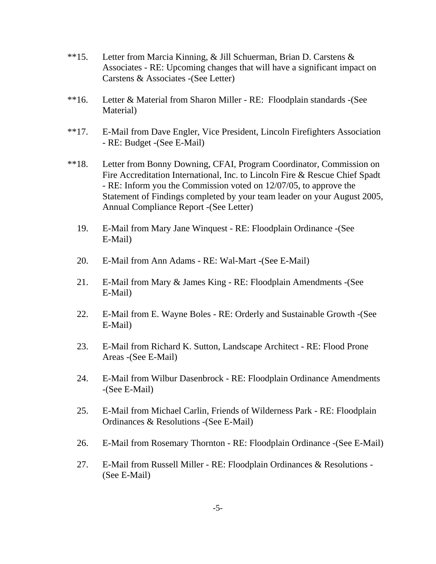- \*\*15. Letter from Marcia Kinning, & Jill Schuerman, Brian D. Carstens & Associates - RE: Upcoming changes that will have a significant impact on Carstens & Associates -(See Letter)
- \*\*16. Letter & Material from Sharon Miller RE: Floodplain standards -(See Material)
- \*\*17. E-Mail from Dave Engler, Vice President, Lincoln Firefighters Association - RE: Budget -(See E-Mail)
- \*\*18. Letter from Bonny Downing, CFAI, Program Coordinator, Commission on Fire Accreditation International, Inc. to Lincoln Fire & Rescue Chief Spadt - RE: Inform you the Commission voted on 12/07/05, to approve the Statement of Findings completed by your team leader on your August 2005, Annual Compliance Report -(See Letter)
	- 19. E-Mail from Mary Jane Winquest RE: Floodplain Ordinance -(See E-Mail)
	- 20. E-Mail from Ann Adams RE: Wal-Mart -(See E-Mail)
	- 21. E-Mail from Mary & James King RE: Floodplain Amendments -(See E-Mail)
	- 22. E-Mail from E. Wayne Boles RE: Orderly and Sustainable Growth -(See E-Mail)
	- 23. E-Mail from Richard K. Sutton, Landscape Architect RE: Flood Prone Areas -(See E-Mail)
	- 24. E-Mail from Wilbur Dasenbrock RE: Floodplain Ordinance Amendments -(See E-Mail)
	- 25. E-Mail from Michael Carlin, Friends of Wilderness Park RE: Floodplain Ordinances & Resolutions -(See E-Mail)
	- 26. E-Mail from Rosemary Thornton RE: Floodplain Ordinance -(See E-Mail)
	- 27. E-Mail from Russell Miller RE: Floodplain Ordinances & Resolutions (See E-Mail)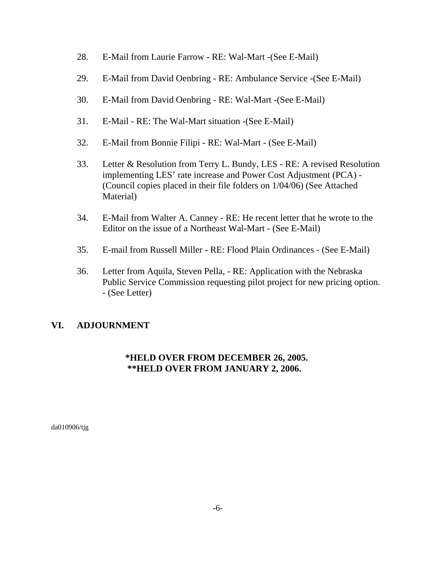- 28. E-Mail from Laurie Farrow RE: Wal-Mart -(See E-Mail)
- 29. E-Mail from David Oenbring RE: Ambulance Service -(See E-Mail)
- 30. E-Mail from David Oenbring RE: Wal-Mart -(See E-Mail)
- 31. E-Mail RE: The Wal-Mart situation -(See E-Mail)
- 32. E-Mail from Bonnie Filipi RE: Wal-Mart (See E-Mail)
- 33. Letter & Resolution from Terry L. Bundy, LES RE: A revised Resolution implementing LES' rate increase and Power Cost Adjustment (PCA) - (Council copies placed in their file folders on 1/04/06) (See Attached Material)
- 34. E-Mail from Walter A. Canney RE: He recent letter that he wrote to the Editor on the issue of a Northeast Wal-Mart - (See E-Mail)
- 35. E-mail from Russell Miller RE: Flood Plain Ordinances (See E-Mail)
- 36. Letter from Aquila, Steven Pella, RE: Application with the Nebraska Public Service Commission requesting pilot project for new pricing option. - (See Letter)

# **VI. ADJOURNMENT**

# **\*HELD OVER FROM DECEMBER 26, 2005. \*\*HELD OVER FROM JANUARY 2, 2006.**

da010906/tjg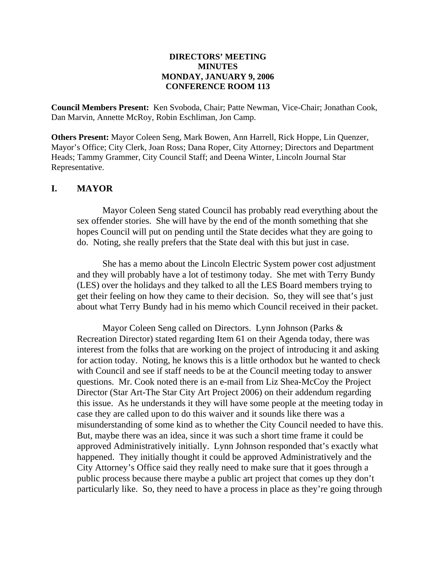#### **DIRECTORS' MEETING MINUTES MONDAY, JANUARY 9, 2006 CONFERENCE ROOM 113**

**Council Members Present:** Ken Svoboda, Chair; Patte Newman, Vice-Chair; Jonathan Cook, Dan Marvin, Annette McRoy, Robin Eschliman, Jon Camp.

**Others Present:** Mayor Coleen Seng, Mark Bowen, Ann Harrell, Rick Hoppe, Lin Quenzer, Mayor's Office; City Clerk, Joan Ross; Dana Roper, City Attorney; Directors and Department Heads; Tammy Grammer, City Council Staff; and Deena Winter, Lincoln Journal Star Representative.

#### **I. MAYOR**

Mayor Coleen Seng stated Council has probably read everything about the sex offender stories. She will have by the end of the month something that she hopes Council will put on pending until the State decides what they are going to do. Noting, she really prefers that the State deal with this but just in case.

She has a memo about the Lincoln Electric System power cost adjustment and they will probably have a lot of testimony today. She met with Terry Bundy (LES) over the holidays and they talked to all the LES Board members trying to get their feeling on how they came to their decision. So, they will see that's just about what Terry Bundy had in his memo which Council received in their packet.

Mayor Coleen Seng called on Directors. Lynn Johnson (Parks & Recreation Director) stated regarding Item 61 on their Agenda today, there was interest from the folks that are working on the project of introducing it and asking for action today. Noting, he knows this is a little orthodox but he wanted to check with Council and see if staff needs to be at the Council meeting today to answer questions. Mr. Cook noted there is an e-mail from Liz Shea-McCoy the Project Director (Star Art-The Star City Art Project 2006) on their addendum regarding this issue. As he understands it they will have some people at the meeting today in case they are called upon to do this waiver and it sounds like there was a misunderstanding of some kind as to whether the City Council needed to have this. But, maybe there was an idea, since it was such a short time frame it could be approved Administratively initially. Lynn Johnson responded that's exactly what happened. They initially thought it could be approved Administratively and the City Attorney's Office said they really need to make sure that it goes through a public process because there maybe a public art project that comes up they don't particularly like. So, they need to have a process in place as they're going through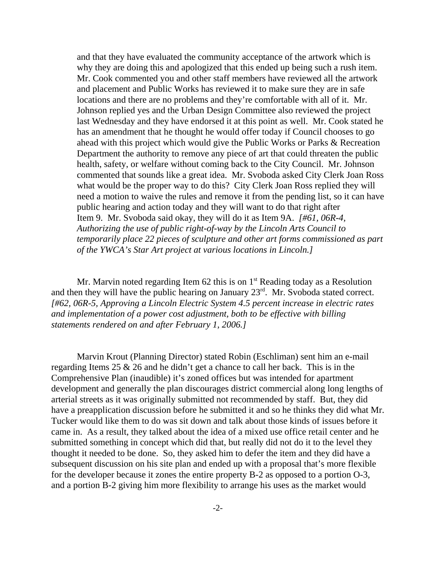and that they have evaluated the community acceptance of the artwork which is why they are doing this and apologized that this ended up being such a rush item. Mr. Cook commented you and other staff members have reviewed all the artwork and placement and Public Works has reviewed it to make sure they are in safe locations and there are no problems and they're comfortable with all of it. Mr. Johnson replied yes and the Urban Design Committee also reviewed the project last Wednesday and they have endorsed it at this point as well. Mr. Cook stated he has an amendment that he thought he would offer today if Council chooses to go ahead with this project which would give the Public Works or Parks & Recreation Department the authority to remove any piece of art that could threaten the public health, safety, or welfare without coming back to the City Council. Mr. Johnson commented that sounds like a great idea. Mr. Svoboda asked City Clerk Joan Ross what would be the proper way to do this? City Clerk Joan Ross replied they will need a motion to waive the rules and remove it from the pending list, so it can have public hearing and action today and they will want to do that right after Item 9. Mr. Svoboda said okay, they will do it as Item 9A. *[#61, 06R-4, Authorizing the use of public right-of-way by the Lincoln Arts Council to temporarily place 22 pieces of sculpture and other art forms commissioned as part of the YWCA's Star Art project at various locations in Lincoln.]* 

Mr. Marvin noted regarding Item 62 this is on  $1<sup>st</sup>$  Reading today as a Resolution and then they will have the public hearing on January 23rd. Mr. Svoboda stated correct. *[#62, 06R-5, Approving a Lincoln Electric System 4.5 percent increase in electric rates and implementation of a power cost adjustment, both to be effective with billing statements rendered on and after February 1, 2006.]* 

Marvin Krout (Planning Director) stated Robin (Eschliman) sent him an e-mail regarding Items 25 & 26 and he didn't get a chance to call her back. This is in the Comprehensive Plan (inaudible) it's zoned offices but was intended for apartment development and generally the plan discourages district commercial along long lengths of arterial streets as it was originally submitted not recommended by staff. But, they did have a preapplication discussion before he submitted it and so he thinks they did what Mr. Tucker would like them to do was sit down and talk about those kinds of issues before it came in. As a result, they talked about the idea of a mixed use office retail center and he submitted something in concept which did that, but really did not do it to the level they thought it needed to be done. So, they asked him to defer the item and they did have a subsequent discussion on his site plan and ended up with a proposal that's more flexible for the developer because it zones the entire property B-2 as opposed to a portion O-3, and a portion B-2 giving him more flexibility to arrange his uses as the market would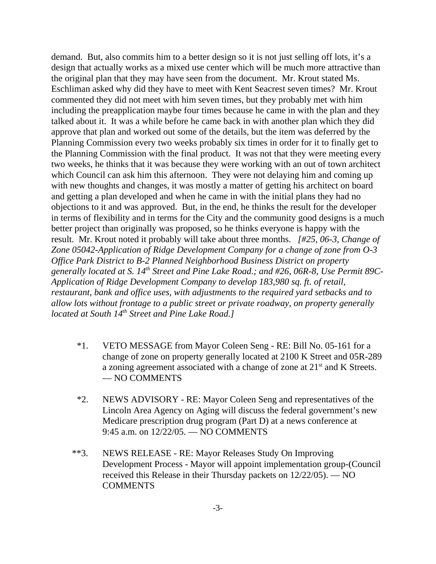demand. But, also commits him to a better design so it is not just selling off lots, it's a design that actually works as a mixed use center which will be much more attractive than the original plan that they may have seen from the document. Mr. Krout stated Ms. Eschliman asked why did they have to meet with Kent Seacrest seven times? Mr. Krout commented they did not meet with him seven times, but they probably met with him including the preapplication maybe four times because he came in with the plan and they talked about it. It was a while before he came back in with another plan which they did approve that plan and worked out some of the details, but the item was deferred by the Planning Commission every two weeks probably six times in order for it to finally get to the Planning Commission with the final product. It was not that they were meeting every two weeks, he thinks that it was because they were working with an out of town architect which Council can ask him this afternoon. They were not delaying him and coming up with new thoughts and changes, it was mostly a matter of getting his architect on board and getting a plan developed and when he came in with the initial plans they had no objections to it and was approved. But, in the end, he thinks the result for the developer in terms of flexibility and in terms for the City and the community good designs is a much better project than originally was proposed, so he thinks everyone is happy with the result. Mr. Krout noted it probably will take about three months. *[#25, 06-3, Change of Zone 05042-Application of Ridge Development Company for a change of zone from O-3 Office Park District to B-2 Planned Neighborhood Business District on property generally located at S. 14th Street and Pine Lake Road.; and #26, 06R-8, Use Permit 89C-Application of Ridge Development Company to develop 183,980 sq. ft. of retail, restaurant, bank and office uses, with adjustments to the required yard setbacks and to allow lots without frontage to a public street or private roadway, on property generally located at South 14th Street and Pine Lake Road.]* 

- \*1. VETO MESSAGE from Mayor Coleen Seng RE: Bill No. 05-161 for a change of zone on property generally located at 2100 K Street and 05R-289 a zoning agreement associated with a change of zone at 21st and K Streets. — NO COMMENTS
- \*2. NEWS ADVISORY RE: Mayor Coleen Seng and representatives of the Lincoln Area Agency on Aging will discuss the federal government's new Medicare prescription drug program (Part D) at a news conference at 9:45 a.m. on 12/22/05. — NO COMMENTS
- \*\*3. NEWS RELEASE RE: Mayor Releases Study On Improving Development Process - Mayor will appoint implementation group-(Council received this Release in their Thursday packets on 12/22/05). — NO **COMMENTS**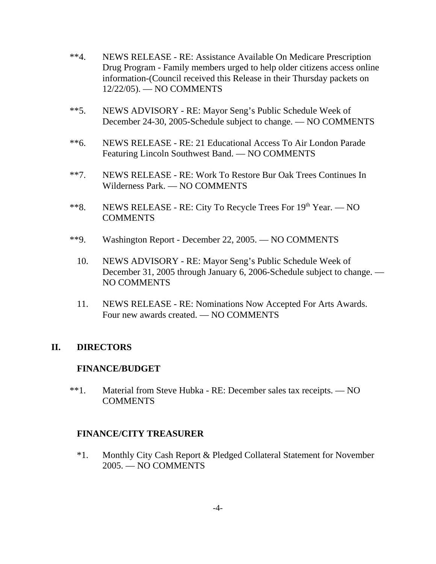- \*\*4. NEWS RELEASE RE: Assistance Available On Medicare Prescription Drug Program - Family members urged to help older citizens access online information-(Council received this Release in their Thursday packets on 12/22/05). — NO COMMENTS
- \*\*5. NEWS ADVISORY RE: Mayor Seng's Public Schedule Week of December 24-30, 2005-Schedule subject to change. — NO COMMENTS
- \*\*6. NEWS RELEASE RE: 21 Educational Access To Air London Parade Featuring Lincoln Southwest Band. — NO COMMENTS
- \*\*7. NEWS RELEASE RE: Work To Restore Bur Oak Trees Continues In Wilderness Park. — NO COMMENTS
- \*\*8. NEWS RELEASE RE: City To Recycle Trees For 19<sup>th</sup> Year. NO **COMMENTS**
- \*\*9. Washington Report December 22, 2005. NO COMMENTS
	- 10. NEWS ADVISORY RE: Mayor Seng's Public Schedule Week of December 31, 2005 through January 6, 2006-Schedule subject to change. — NO COMMENTS
	- 11. NEWS RELEASE RE: Nominations Now Accepted For Arts Awards. Four new awards created. — NO COMMENTS

## **II. DIRECTORS**

#### **FINANCE/BUDGET**

\*\*1. Material from Steve Hubka - RE: December sales tax receipts. — NO **COMMENTS** 

## **FINANCE/CITY TREASURER**

\*1. Monthly City Cash Report & Pledged Collateral Statement for November 2005. — NO COMMENTS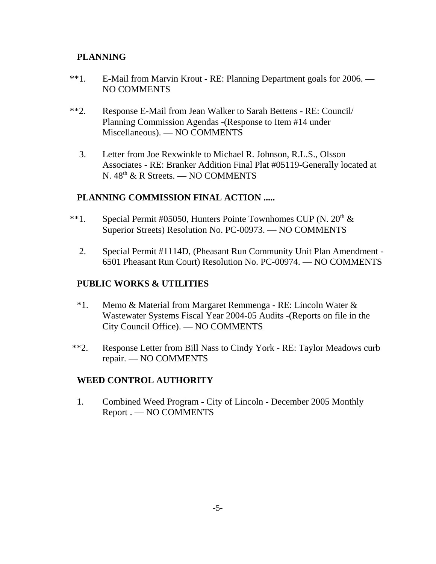# **PLANNING**

- \*\*1. E-Mail from Marvin Krout RE: Planning Department goals for 2006. NO COMMENTS
- \*\*2. Response E-Mail from Jean Walker to Sarah Bettens RE: Council/ Planning Commission Agendas -(Response to Item #14 under Miscellaneous). — NO COMMENTS
	- 3. Letter from Joe Rexwinkle to Michael R. Johnson, R.L.S., Olsson Associates - RE: Branker Addition Final Plat #05119-Generally located at N.  $48<sup>th</sup>$  & R Streets. — NO COMMENTS

# **PLANNING COMMISSION FINAL ACTION .....**

- \*\*1. Special Permit #05050, Hunters Pointe Townhomes CUP (N.  $20<sup>th</sup> \&$ Superior Streets) Resolution No. PC-00973. — NO COMMENTS
	- 2. Special Permit #1114D, (Pheasant Run Community Unit Plan Amendment 6501 Pheasant Run Court) Resolution No. PC-00974. — NO COMMENTS

# **PUBLIC WORKS & UTILITIES**

- \*1. Memo & Material from Margaret Remmenga RE: Lincoln Water & Wastewater Systems Fiscal Year 2004-05 Audits -(Reports on file in the City Council Office). — NO COMMENTS
- \*\*2. Response Letter from Bill Nass to Cindy York RE: Taylor Meadows curb repair. — NO COMMENTS

## **WEED CONTROL AUTHORITY**

1. Combined Weed Program - City of Lincoln - December 2005 Monthly Report . — NO COMMENTS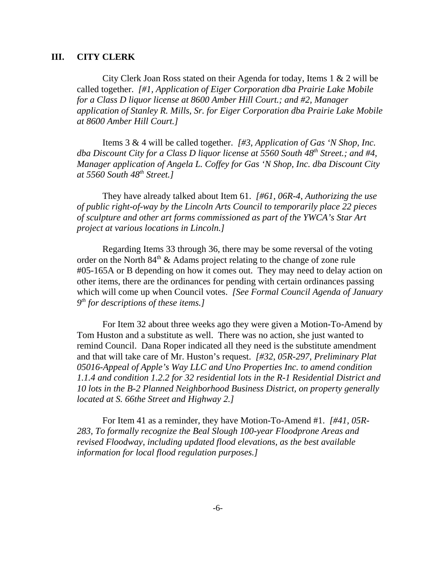#### **III. CITY CLERK**

City Clerk Joan Ross stated on their Agenda for today, Items 1 & 2 will be called together. *[#1, Application of Eiger Corporation dba Prairie Lake Mobile for a Class D liquor license at 8600 Amber Hill Court.; and #2, Manager application of Stanley R. Mills, Sr. for Eiger Corporation dba Prairie Lake Mobile at 8600 Amber Hill Court.]* 

Items 3 & 4 will be called together. *[#3, Application of Gas 'N Shop, Inc. dba Discount City for a Class D liquor license at 5560 South 48th Street.; and #4, Manager application of Angela L. Coffey for Gas 'N Shop, Inc. dba Discount City at 5560 South 48th Street.]* 

They have already talked about Item 61. *[#61, 06R-4, Authorizing the use of public right-of-way by the Lincoln Arts Council to temporarily place 22 pieces of sculpture and other art forms commissioned as part of the YWCA's Star Art project at various locations in Lincoln.]* 

Regarding Items 33 through 36, there may be some reversal of the voting order on the North  $84<sup>th</sup>$  & Adams project relating to the change of zone rule #05-165A or B depending on how it comes out. They may need to delay action on other items, there are the ordinances for pending with certain ordinances passing which will come up when Council votes. *[See Formal Council Agenda of January 9th for descriptions of these items.]* 

For Item 32 about three weeks ago they were given a Motion-To-Amend by Tom Huston and a substitute as well. There was no action, she just wanted to remind Council. Dana Roper indicated all they need is the substitute amendment and that will take care of Mr. Huston's request. *[#32, 05R-297, Preliminary Plat 05016-Appeal of Apple's Way LLC and Uno Properties Inc. to amend condition 1.1.4 and condition 1.2.2 for 32 residential lots in the R-1 Residential District and 10 lots in the B-2 Planned Neighborhood Business District, on property generally located at S. 66the Street and Highway 2.]* 

For Item 41 as a reminder, they have Motion-To-Amend #1. *[#41, 05R-283, To formally recognize the Beal Slough 100-year Floodprone Areas and revised Floodway, including updated flood elevations, as the best available information for local flood regulation purposes.]*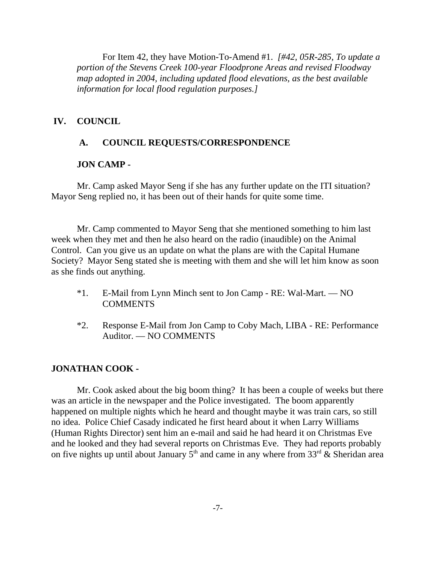For Item 42, they have Motion-To-Amend #1. *[#42, 05R-285, To update a portion of the Stevens Creek 100-year Floodprone Areas and revised Floodway map adopted in 2004, including updated flood elevations, as the best available information for local flood regulation purposes.]* 

#### **IV. COUNCIL**

#### **A. COUNCIL REQUESTS/CORRESPONDENCE**

#### **JON CAMP -**

Mr. Camp asked Mayor Seng if she has any further update on the ITI situation? Mayor Seng replied no, it has been out of their hands for quite some time.

Mr. Camp commented to Mayor Seng that she mentioned something to him last week when they met and then he also heard on the radio (inaudible) on the Animal Control. Can you give us an update on what the plans are with the Capital Humane Society? Mayor Seng stated she is meeting with them and she will let him know as soon as she finds out anything.

- \*1. E-Mail from Lynn Minch sent to Jon Camp RE: Wal-Mart. NO COMMENTS
- \*2. Response E-Mail from Jon Camp to Coby Mach, LIBA RE: Performance Auditor. — NO COMMENTS

#### **JONATHAN COOK -**

Mr. Cook asked about the big boom thing? It has been a couple of weeks but there was an article in the newspaper and the Police investigated. The boom apparently happened on multiple nights which he heard and thought maybe it was train cars, so still no idea. Police Chief Casady indicated he first heard about it when Larry Williams (Human Rights Director) sent him an e-mail and said he had heard it on Christmas Eve and he looked and they had several reports on Christmas Eve. They had reports probably on five nights up until about January  $5<sup>th</sup>$  and came in any where from 33<sup>rd</sup> & Sheridan area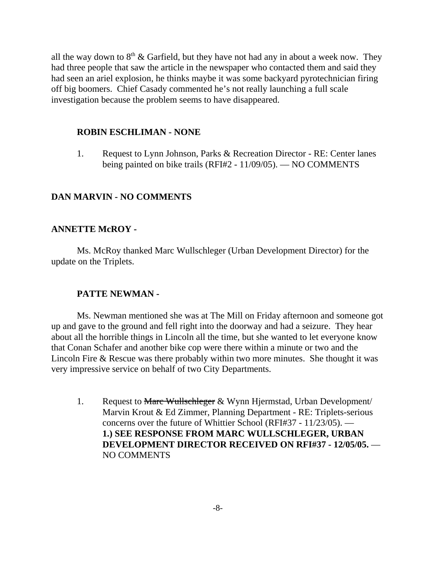all the way down to  $8<sup>th</sup>$  & Garfield, but they have not had any in about a week now. They had three people that saw the article in the newspaper who contacted them and said they had seen an ariel explosion, he thinks maybe it was some backyard pyrotechnician firing off big boomers. Chief Casady commented he's not really launching a full scale investigation because the problem seems to have disappeared.

#### **ROBIN ESCHLIMAN - NONE**

1. Request to Lynn Johnson, Parks & Recreation Director - RE: Center lanes being painted on bike trails (RFI#2 - 11/09/05). — NO COMMENTS

## **DAN MARVIN - NO COMMENTS**

#### **ANNETTE McROY -**

Ms. McRoy thanked Marc Wullschleger (Urban Development Director) for the update on the Triplets.

#### **PATTE NEWMAN -**

Ms. Newman mentioned she was at The Mill on Friday afternoon and someone got up and gave to the ground and fell right into the doorway and had a seizure. They hear about all the horrible things in Lincoln all the time, but she wanted to let everyone know that Conan Schafer and another bike cop were there within a minute or two and the Lincoln Fire & Rescue was there probably within two more minutes. She thought it was very impressive service on behalf of two City Departments.

1. Request to Marc Wullschleger & Wynn Hjermstad, Urban Development/ Marvin Krout & Ed Zimmer, Planning Department - RE: Triplets-serious concerns over the future of Whittier School (RFI#37 - 11/23/05). — **1.) SEE RESPONSE FROM MARC WULLSCHLEGER, URBAN DEVELOPMENT DIRECTOR RECEIVED ON RFI#37 - 12/05/05.** — NO COMMENTS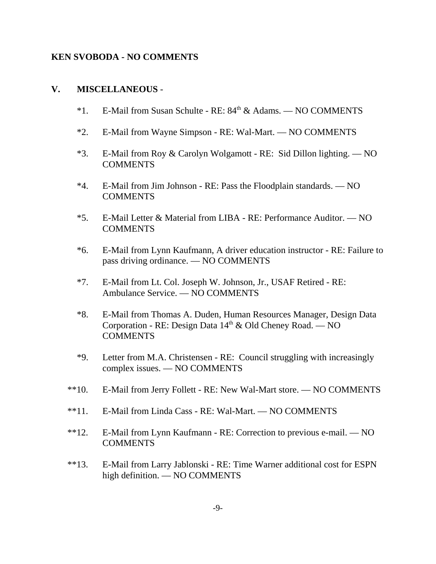#### **KEN SVOBODA - NO COMMENTS**

#### **V. MISCELLANEOUS** -

- $*1.$  E-Mail from Susan Schulte RE:  $84<sup>th</sup>$  & Adams. NO COMMENTS
- \*2. E-Mail from Wayne Simpson RE: Wal-Mart. NO COMMENTS
- \*3. E-Mail from Roy & Carolyn Wolgamott RE: Sid Dillon lighting. NO COMMENTS
- \*4. E-Mail from Jim Johnson RE: Pass the Floodplain standards. NO **COMMENTS**
- \*5. E-Mail Letter & Material from LIBA RE: Performance Auditor. NO **COMMENTS**
- \*6. E-Mail from Lynn Kaufmann, A driver education instructor RE: Failure to pass driving ordinance. — NO COMMENTS
- \*7. E-Mail from Lt. Col. Joseph W. Johnson, Jr., USAF Retired RE: Ambulance Service. — NO COMMENTS
- \*8. E-Mail from Thomas A. Duden, Human Resources Manager, Design Data Corporation - RE: Design Data  $14<sup>th</sup>$  & Old Cheney Road. — NO **COMMENTS**
- \*9. Letter from M.A. Christensen RE: Council struggling with increasingly complex issues. — NO COMMENTS
- \*\*10. E-Mail from Jerry Follett RE: New Wal-Mart store. NO COMMENTS
- \*\*11. E-Mail from Linda Cass RE: Wal-Mart. NO COMMENTS
- \*\*12. E-Mail from Lynn Kaufmann RE: Correction to previous e-mail. NO **COMMENTS**
- \*\*13. E-Mail from Larry Jablonski RE: Time Warner additional cost for ESPN high definition. — NO COMMENTS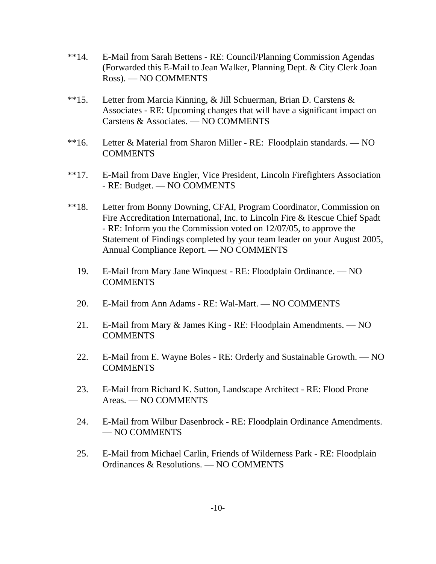- \*\*14. E-Mail from Sarah Bettens RE: Council/Planning Commission Agendas (Forwarded this E-Mail to Jean Walker, Planning Dept. & City Clerk Joan Ross). — NO COMMENTS
- \*\*15. Letter from Marcia Kinning, & Jill Schuerman, Brian D. Carstens & Associates - RE: Upcoming changes that will have a significant impact on Carstens & Associates. — NO COMMENTS
- \*\*16. Letter & Material from Sharon Miller RE: Floodplain standards. NO COMMENTS
- \*\*17. E-Mail from Dave Engler, Vice President, Lincoln Firefighters Association - RE: Budget. — NO COMMENTS
- \*\*18. Letter from Bonny Downing, CFAI, Program Coordinator, Commission on Fire Accreditation International, Inc. to Lincoln Fire & Rescue Chief Spadt - RE: Inform you the Commission voted on 12/07/05, to approve the Statement of Findings completed by your team leader on your August 2005, Annual Compliance Report. — NO COMMENTS
	- 19. E-Mail from Mary Jane Winquest RE: Floodplain Ordinance. NO COMMENTS
	- 20. E-Mail from Ann Adams RE: Wal-Mart. NO COMMENTS
	- 21. E-Mail from Mary & James King RE: Floodplain Amendments. NO **COMMENTS**
	- 22. E-Mail from E. Wayne Boles RE: Orderly and Sustainable Growth. NO COMMENTS
	- 23. E-Mail from Richard K. Sutton, Landscape Architect RE: Flood Prone Areas. — NO COMMENTS
	- 24. E-Mail from Wilbur Dasenbrock RE: Floodplain Ordinance Amendments. — NO COMMENTS
	- 25. E-Mail from Michael Carlin, Friends of Wilderness Park RE: Floodplain Ordinances & Resolutions. — NO COMMENTS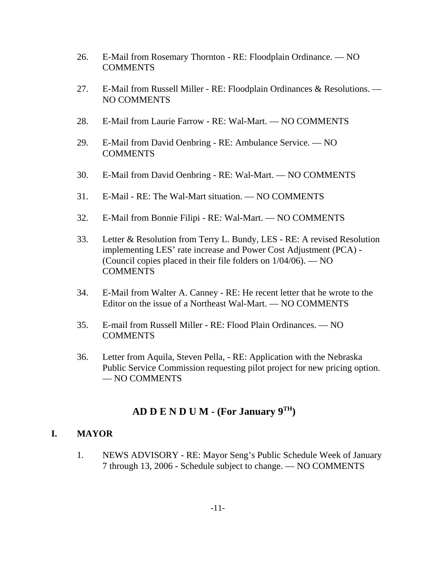- 26. E-Mail from Rosemary Thornton RE: Floodplain Ordinance. NO COMMENTS
- 27. E-Mail from Russell Miller RE: Floodplain Ordinances & Resolutions. NO COMMENTS
- 28. E-Mail from Laurie Farrow RE: Wal-Mart. NO COMMENTS
- 29. E-Mail from David Oenbring RE: Ambulance Service. NO **COMMENTS**
- 30. E-Mail from David Oenbring RE: Wal-Mart. NO COMMENTS
- 31. E-Mail RE: The Wal-Mart situation. NO COMMENTS
- 32. E-Mail from Bonnie Filipi RE: Wal-Mart. NO COMMENTS
- 33. Letter & Resolution from Terry L. Bundy, LES RE: A revised Resolution implementing LES' rate increase and Power Cost Adjustment (PCA) - (Council copies placed in their file folders on 1/04/06). — NO COMMENTS
- 34. E-Mail from Walter A. Canney RE: He recent letter that he wrote to the Editor on the issue of a Northeast Wal-Mart. — NO COMMENTS
- 35. E-mail from Russell Miller RE: Flood Plain Ordinances. NO **COMMENTS**
- 36. Letter from Aquila, Steven Pella, RE: Application with the Nebraska Public Service Commission requesting pilot project for new pricing option. — NO COMMENTS

# **AD D E N D U M - (For January 9TH)**

## **I. MAYOR**

1. NEWS ADVISORY - RE: Mayor Seng's Public Schedule Week of January 7 through 13, 2006 - Schedule subject to change. — NO COMMENTS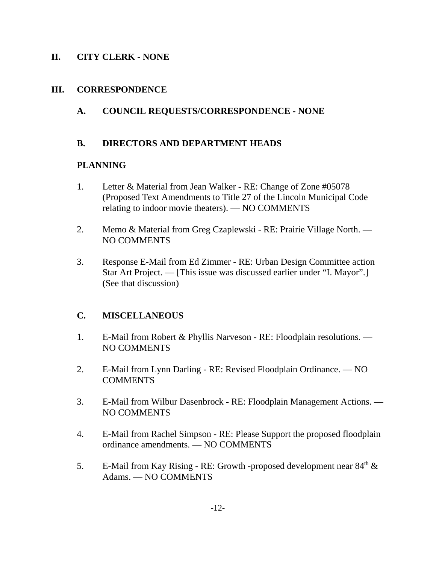## **II. CITY CLERK - NONE**

#### **III. CORRESPONDENCE**

## **A. COUNCIL REQUESTS/CORRESPONDENCE - NONE**

#### **B. DIRECTORS AND DEPARTMENT HEADS**

#### **PLANNING**

- 1. Letter & Material from Jean Walker RE: Change of Zone #05078 (Proposed Text Amendments to Title 27 of the Lincoln Municipal Code relating to indoor movie theaters). — NO COMMENTS
- 2. Memo & Material from Greg Czaplewski RE: Prairie Village North. NO COMMENTS
- 3. Response E-Mail from Ed Zimmer RE: Urban Design Committee action Star Art Project. — [This issue was discussed earlier under "I. Mayor".] (See that discussion)

## **C. MISCELLANEOUS**

- 1. E-Mail from Robert & Phyllis Narveson RE: Floodplain resolutions. NO COMMENTS
- 2. E-Mail from Lynn Darling RE: Revised Floodplain Ordinance. NO **COMMENTS**
- 3. E-Mail from Wilbur Dasenbrock RE: Floodplain Management Actions. NO COMMENTS
- 4. E-Mail from Rachel Simpson RE: Please Support the proposed floodplain ordinance amendments. — NO COMMENTS
- 5. E-Mail from Kay Rising RE: Growth -proposed development near  $84<sup>th</sup> \&$ Adams. — NO COMMENTS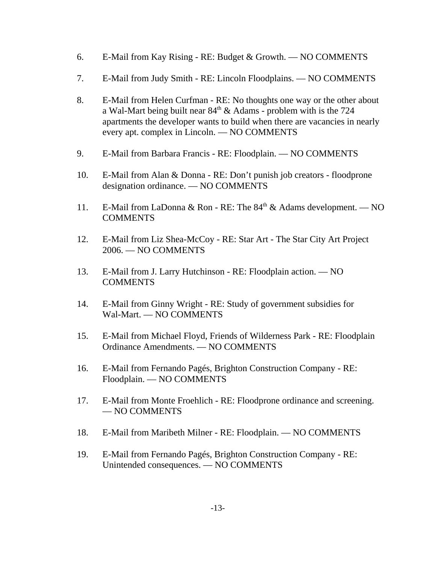- 6. E-Mail from Kay Rising RE: Budget & Growth. NO COMMENTS
- 7. E-Mail from Judy Smith RE: Lincoln Floodplains. NO COMMENTS
- 8. E-Mail from Helen Curfman RE: No thoughts one way or the other about a Wal-Mart being built near  $84<sup>th</sup>$  & Adams - problem with is the 724 apartments the developer wants to build when there are vacancies in nearly every apt. complex in Lincoln. — NO COMMENTS
- 9. E-Mail from Barbara Francis RE: Floodplain. NO COMMENTS
- 10. E-Mail from Alan & Donna RE: Don't punish job creators floodprone designation ordinance. — NO COMMENTS
- 11. E-Mail from LaDonna & Ron RE: The  $84<sup>th</sup>$  & Adams development. NO **COMMENTS**
- 12. E-Mail from Liz Shea-McCoy RE: Star Art The Star City Art Project 2006. — NO COMMENTS
- 13. E-Mail from J. Larry Hutchinson RE: Floodplain action. NO COMMENTS
- 14. E-Mail from Ginny Wright RE: Study of government subsidies for Wal-Mart. — NO COMMENTS
- 15. E-Mail from Michael Floyd, Friends of Wilderness Park RE: Floodplain Ordinance Amendments. — NO COMMENTS
- 16. E-Mail from Fernando Pagés, Brighton Construction Company RE: Floodplain. — NO COMMENTS
- 17. E-Mail from Monte Froehlich RE: Floodprone ordinance and screening. — NO COMMENTS
- 18. E-Mail from Maribeth Milner RE: Floodplain. NO COMMENTS
- 19. E-Mail from Fernando Pagés, Brighton Construction Company RE: Unintended consequences. — NO COMMENTS